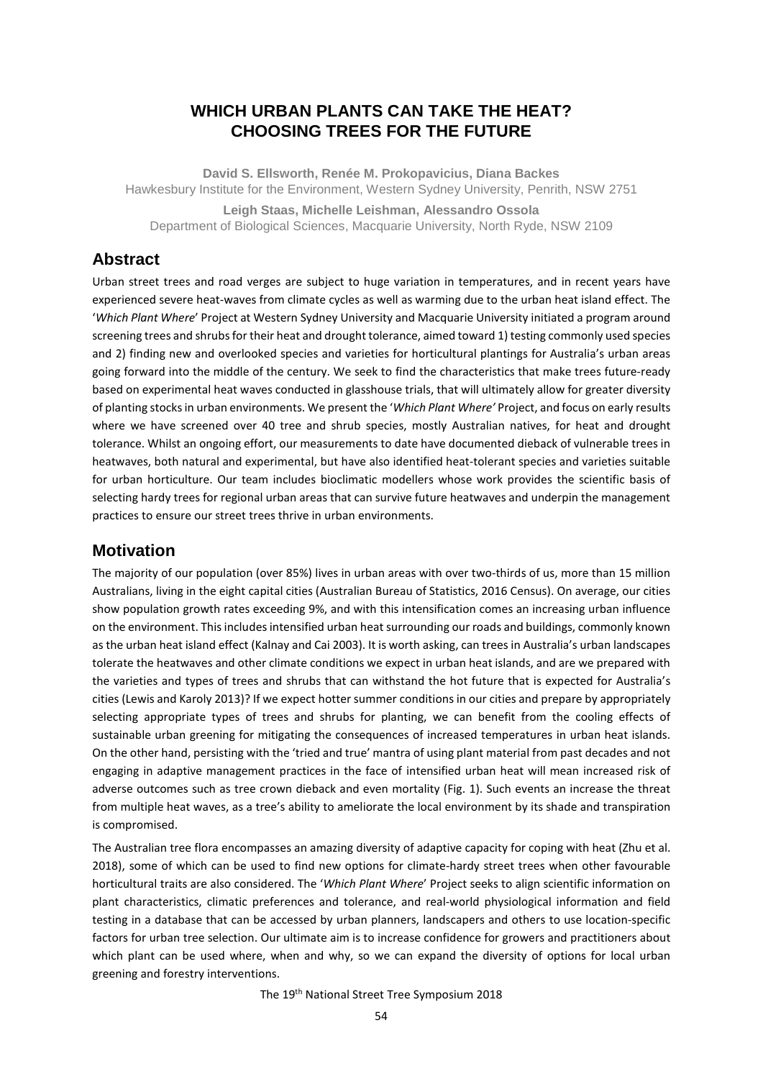# **WHICH URBAN PLANTS CAN TAKE THE HEAT? CHOOSING TREES FOR THE FUTURE**

**David S. Ellsworth, Renée M. Prokopavicius, Diana Backes**  Hawkesbury Institute for the Environment, Western Sydney University, Penrith, NSW 2751 **Leigh Staas, Michelle Leishman, Alessandro Ossola** Department of Biological Sciences, Macquarie University, North Ryde, NSW 2109

## **Abstract**

Urban street trees and road verges are subject to huge variation in temperatures, and in recent years have experienced severe heat-waves from climate cycles as well as warming due to the urban heat island effect. The '*Which Plant Where*' Project at Western Sydney University and Macquarie University initiated a program around screening trees and shrubs for their heat and drought tolerance, aimed toward 1) testing commonly used species and 2) finding new and overlooked species and varieties for horticultural plantings for Australia's urban areas going forward into the middle of the century. We seek to find the characteristics that make trees future-ready based on experimental heat waves conducted in glasshouse trials, that will ultimately allow for greater diversity of planting stocksin urban environments. We present the '*Which Plant Where'* Project, and focus on early results where we have screened over 40 tree and shrub species, mostly Australian natives, for heat and drought tolerance. Whilst an ongoing effort, our measurements to date have documented dieback of vulnerable trees in heatwaves, both natural and experimental, but have also identified heat-tolerant species and varieties suitable for urban horticulture. Our team includes bioclimatic modellers whose work provides the scientific basis of selecting hardy trees for regional urban areas that can survive future heatwaves and underpin the management practices to ensure our street trees thrive in urban environments.

## **Motivation**

The majority of our population (over 85%) lives in urban areas with over two-thirds of us, more than 15 million Australians, living in the eight capital cities (Australian Bureau of Statistics, 2016 Census). On average, our cities show population growth rates exceeding 9%, and with this intensification comes an increasing urban influence on the environment. This includes intensified urban heat surrounding our roads and buildings, commonly known as the urban heat island effect (Kalnay and Cai 2003). It is worth asking, can trees in Australia's urban landscapes tolerate the heatwaves and other climate conditions we expect in urban heat islands, and are we prepared with the varieties and types of trees and shrubs that can withstand the hot future that is expected for Australia's cities (Lewis and Karoly 2013)? If we expect hotter summer conditions in our cities and prepare by appropriately selecting appropriate types of trees and shrubs for planting, we can benefit from the cooling effects of sustainable urban greening for mitigating the consequences of increased temperatures in urban heat islands. On the other hand, persisting with the 'tried and true' mantra of using plant material from past decades and not engaging in adaptive management practices in the face of intensified urban heat will mean increased risk of adverse outcomes such as tree crown dieback and even mortality (Fig. 1). Such events an increase the threat from multiple heat waves, as a tree's ability to ameliorate the local environment by its shade and transpiration is compromised.

The Australian tree flora encompasses an amazing diversity of adaptive capacity for coping with heat (Zhu et al. 2018), some of which can be used to find new options for climate-hardy street trees when other favourable horticultural traits are also considered. The '*Which Plant Where*' Project seeks to align scientific information on plant characteristics, climatic preferences and tolerance, and real-world physiological information and field testing in a database that can be accessed by urban planners, landscapers and others to use location-specific factors for urban tree selection. Our ultimate aim is to increase confidence for growers and practitioners about which plant can be used where, when and why, so we can expand the diversity of options for local urban greening and forestry interventions.

The 19th National Street Tree Symposium 2018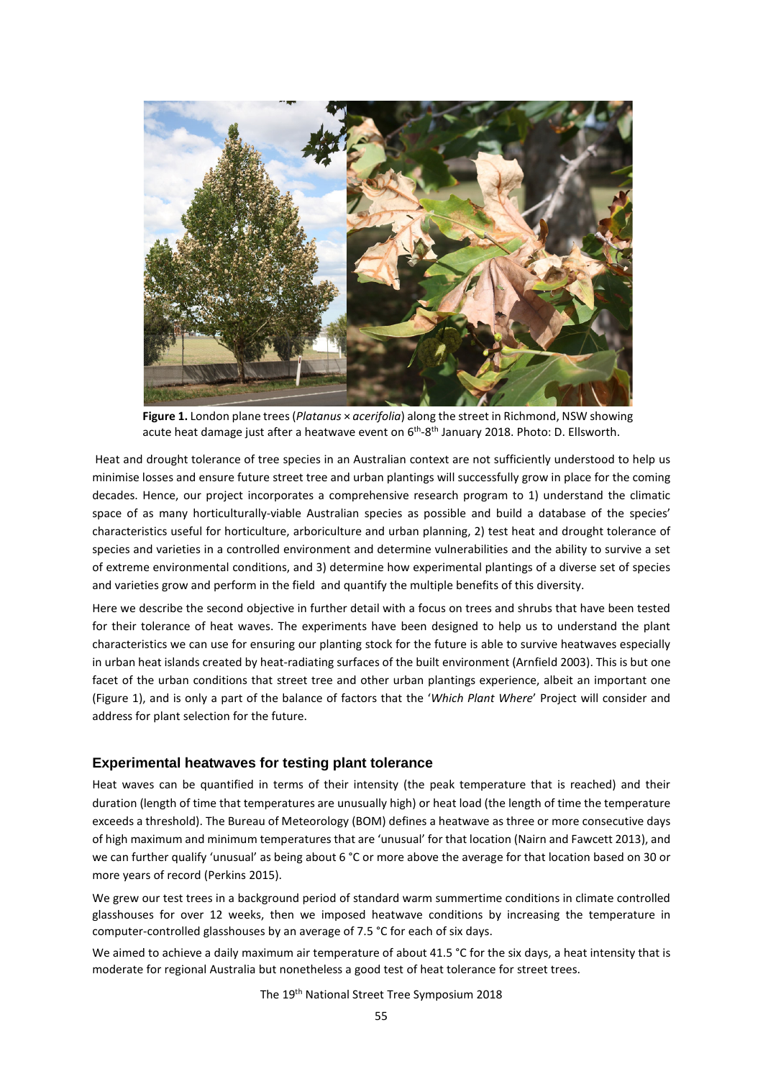

**Figure 1.** London plane trees (*Platanus* × *acerifolia*) along the street in Richmond, NSW showing acute heat damage just after a heatwave event on 6<sup>th</sup>-8<sup>th</sup> January 2018. Photo: D. Ellsworth.

Heat and drought tolerance of tree species in an Australian context are not sufficiently understood to help us minimise losses and ensure future street tree and urban plantings will successfully grow in place for the coming decades. Hence, our project incorporates a comprehensive research program to 1) understand the climatic space of as many horticulturally-viable Australian species as possible and build a database of the species' characteristics useful for horticulture, arboriculture and urban planning, 2) test heat and drought tolerance of species and varieties in a controlled environment and determine vulnerabilities and the ability to survive a set of extreme environmental conditions, and 3) determine how experimental plantings of a diverse set of species and varieties grow and perform in the field and quantify the multiple benefits of this diversity.

Here we describe the second objective in further detail with a focus on trees and shrubs that have been tested for their tolerance of heat waves. The experiments have been designed to help us to understand the plant characteristics we can use for ensuring our planting stock for the future is able to survive heatwaves especially in urban heat islands created by heat-radiating surfaces of the built environment (Arnfield 2003). This is but one facet of the urban conditions that street tree and other urban plantings experience, albeit an important one (Figure 1), and is only a part of the balance of factors that the '*Which Plant Where*' Project will consider and address for plant selection for the future.

#### **Experimental heatwaves for testing plant tolerance**

Heat waves can be quantified in terms of their intensity (the peak temperature that is reached) and their duration (length of time that temperatures are unusually high) or heat load (the length of time the temperature exceeds a threshold). The Bureau of Meteorology (BOM) defines a heatwave as three or more consecutive days of high maximum and minimum temperatures that are 'unusual' for that location (Nairn and Fawcett 2013), and we can further qualify 'unusual' as being about 6 °C or more above the average for that location based on 30 or more years of record (Perkins 2015).

We grew our test trees in a background period of standard warm summertime conditions in climate controlled glasshouses for over 12 weeks, then we imposed heatwave conditions by increasing the temperature in computer-controlled glasshouses by an average of 7.5 °C for each of six days.

We aimed to achieve a daily maximum air temperature of about 41.5 °C for the six days, a heat intensity that is moderate for regional Australia but nonetheless a good test of heat tolerance for street trees.

The 19th National Street Tree Symposium 2018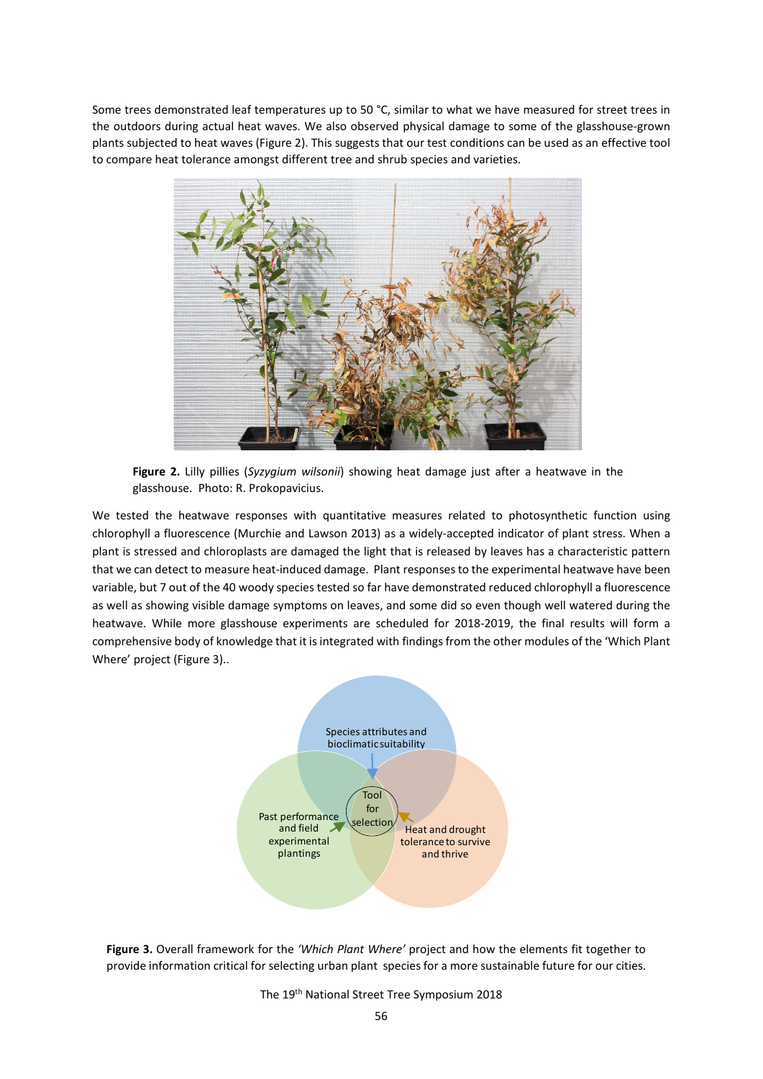Some trees demonstrated leaf temperatures up to 50 °C, similar to what we have measured for street trees in the outdoors during actual heat waves. We also observed physical damage to some of the glasshouse-grown plants subjected to heat waves (Figure 2). This suggests that our test conditions can be used as an effective tool to compare heat tolerance amongst different tree and shrub species and varieties.



**Figure 2.** Lilly pillies (*Syzygium wilsonii*) showing heat damage just after a heatwave in the glasshouse. Photo: R. Prokopavicius.

We tested the heatwave responses with quantitative measures related to photosynthetic function using chlorophyll a fluorescence (Murchie and Lawson 2013) as a widely-accepted indicator of plant stress. When a plant is stressed and chloroplasts are damaged the light that is released by leaves has a characteristic pattern that we can detect to measure heat-induced damage. Plant responses to the experimental heatwave have been variable, but 7 out of the 40 woody species tested so far have demonstrated reduced chlorophyll a fluorescence as well as showing visible damage symptoms on leaves, and some did so even though well watered during the heatwave. While more glasshouse experiments are scheduled for 2018-2019, the final results will form a comprehensive body of knowledge that it is integrated with findings from the other modules of the 'Which Plant Where' project (Figure 3)..





The 19th National Street Tree Symposium 2018